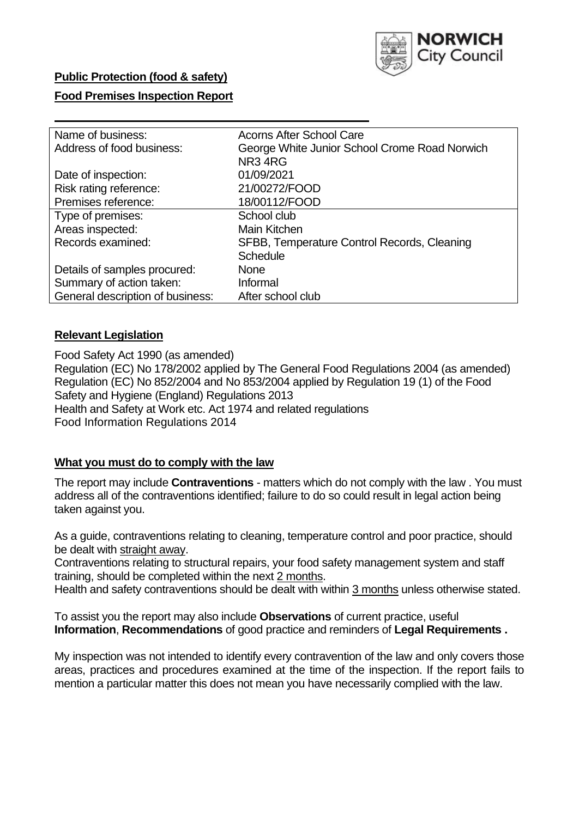

### **Public Protection (food & safety)**

#### **Food Premises Inspection Report**

| Name of business:                | <b>Acorns After School Care</b>               |  |  |  |  |  |
|----------------------------------|-----------------------------------------------|--|--|--|--|--|
| Address of food business:        | George White Junior School Crome Road Norwich |  |  |  |  |  |
|                                  | NR34RG                                        |  |  |  |  |  |
| Date of inspection:              | 01/09/2021                                    |  |  |  |  |  |
| Risk rating reference:           | 21/00272/FOOD                                 |  |  |  |  |  |
| Premises reference:              | 18/00112/FOOD                                 |  |  |  |  |  |
| Type of premises:                | School club                                   |  |  |  |  |  |
| Areas inspected:                 | Main Kitchen                                  |  |  |  |  |  |
| Records examined:                | SFBB, Temperature Control Records, Cleaning   |  |  |  |  |  |
|                                  | Schedule                                      |  |  |  |  |  |
| Details of samples procured:     | None                                          |  |  |  |  |  |
| Summary of action taken:         | Informal                                      |  |  |  |  |  |
| General description of business: | After school club                             |  |  |  |  |  |
|                                  |                                               |  |  |  |  |  |

### **Relevant Legislation**

 Food Safety Act 1990 (as amended) Regulation (EC) No 178/2002 applied by The General Food Regulations 2004 (as amended) Regulation (EC) No 852/2004 and No 853/2004 applied by Regulation 19 (1) of the Food Safety and Hygiene (England) Regulations 2013 Health and Safety at Work etc. Act 1974 and related regulations Food Information Regulations 2014

### **What you must do to comply with the law**

 The report may include **Contraventions** - matters which do not comply with the law . You must address all of the contraventions identified; failure to do so could result in legal action being taken against you.

 As a guide, contraventions relating to cleaning, temperature control and poor practice, should be dealt with straight away.

 Contraventions relating to structural repairs, your food safety management system and staff training, should be completed within the next 2 months.

Health and safety contraventions should be dealt with within 3 months unless otherwise stated.

 To assist you the report may also include **Observations** of current practice, useful **Information**, **Recommendations** of good practice and reminders of **Legal Requirements .** 

 My inspection was not intended to identify every contravention of the law and only covers those areas, practices and procedures examined at the time of the inspection. If the report fails to mention a particular matter this does not mean you have necessarily complied with the law.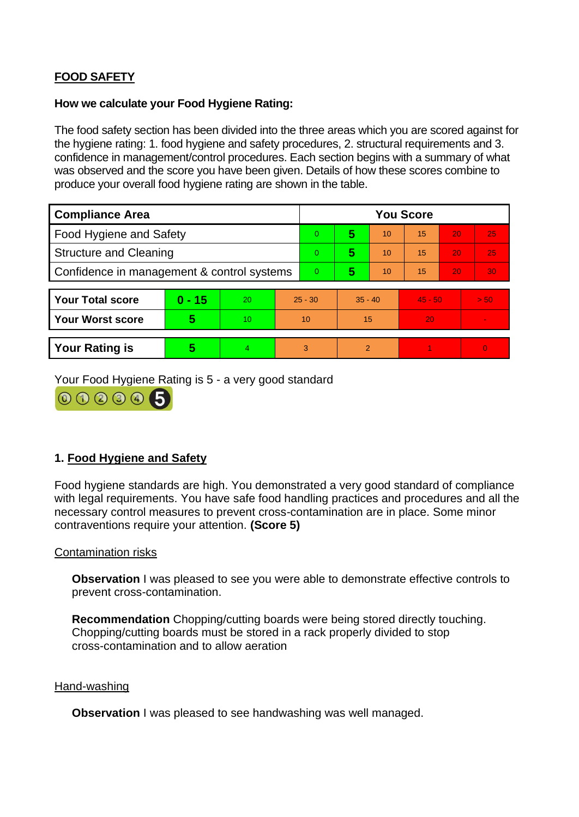# **FOOD SAFETY**

#### **How we calculate your Food Hygiene Rating:**

 The food safety section has been divided into the three areas which you are scored against for the hygiene rating: 1. food hygiene and safety procedures, 2. structural requirements and 3. confidence in management/control procedures. Each section begins with a summary of what was observed and the score you have been given. Details of how these scores combine to produce your overall food hygiene rating are shown in the table.

| <b>Compliance Area</b>                     |          |    |                | <b>You Score</b> |                |           |    |           |                |  |  |
|--------------------------------------------|----------|----|----------------|------------------|----------------|-----------|----|-----------|----------------|--|--|
| Food Hygiene and Safety                    |          |    |                | $\overline{0}$   | 5              | 10        | 15 | 20        | 25             |  |  |
| <b>Structure and Cleaning</b>              |          |    | $\overline{0}$ | 5                | 10             | 15        | 20 | 25        |                |  |  |
| Confidence in management & control systems |          |    | $\overline{0}$ | 5                | 10             | 15        | 20 | 30        |                |  |  |
|                                            |          |    |                |                  |                |           |    |           |                |  |  |
| <b>Your Total score</b>                    | $0 - 15$ | 20 |                | $25 - 30$        |                | $35 - 40$ |    | $45 - 50$ | > 50           |  |  |
| <b>Your Worst score</b>                    | 5        | 10 |                | 10               |                | 15        |    |           | $\blacksquare$ |  |  |
|                                            |          |    |                |                  |                |           |    |           |                |  |  |
| <b>Your Rating is</b>                      | 5        | 4  | 3              |                  | $\overline{2}$ |           |    |           | $\Omega$       |  |  |

Your Food Hygiene Rating is 5 - a very good standard



## **1. Food Hygiene and Safety**

 with legal requirements. You have safe food handling practices and procedures and all the Food hygiene standards are high. You demonstrated a very good standard of compliance necessary control measures to prevent cross-contamination are in place. Some minor contraventions require your attention. **(Score 5)** 

### Contamination risks

**Observation** I was pleased to see you were able to demonstrate effective controls to prevent cross-contamination.

 Chopping/cutting boards must be stored in a rack properly divided to stop **Recommendation** Chopping/cutting boards were being stored directly touching. cross-contamination and to allow aeration

#### Hand-washing

**Observation** I was pleased to see handwashing was well managed.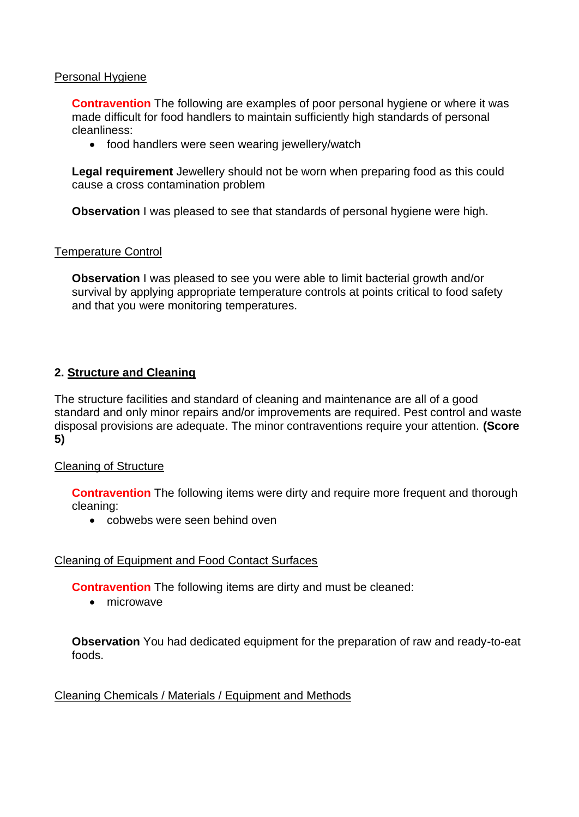#### Personal Hygiene

 made difficult for food handlers to maintain sufficiently high standards of personal **Contravention** The following are examples of poor personal hygiene or where it was cleanliness:

• food handlers were seen wearing jewellery/watch

**Legal requirement** Jewellery should not be worn when preparing food as this could cause a cross contamination problem

**Observation** I was pleased to see that standards of personal hygiene were high.

#### Temperature Control

**Observation** I was pleased to see you were able to limit bacterial growth and/or survival by applying appropriate temperature controls at points critical to food safety and that you were monitoring temperatures.

### **2. Structure and Cleaning**

 The structure facilities and standard of cleaning and maintenance are all of a good standard and only minor repairs and/or improvements are required. Pest control and waste disposal provisions are adequate. The minor contraventions require your attention. **(Score 5)** 

### Cleaning of Structure

**Contravention** The following items were dirty and require more frequent and thorough cleaning:

• cobwebs were seen behind oven

### Cleaning of Equipment and Food Contact Surfaces

**Contravention** The following items are dirty and must be cleaned:

• microwave

 **Observation** You had dedicated equipment for the preparation of raw and ready-to-eat foods.

### Cleaning Chemicals / Materials / Equipment and Methods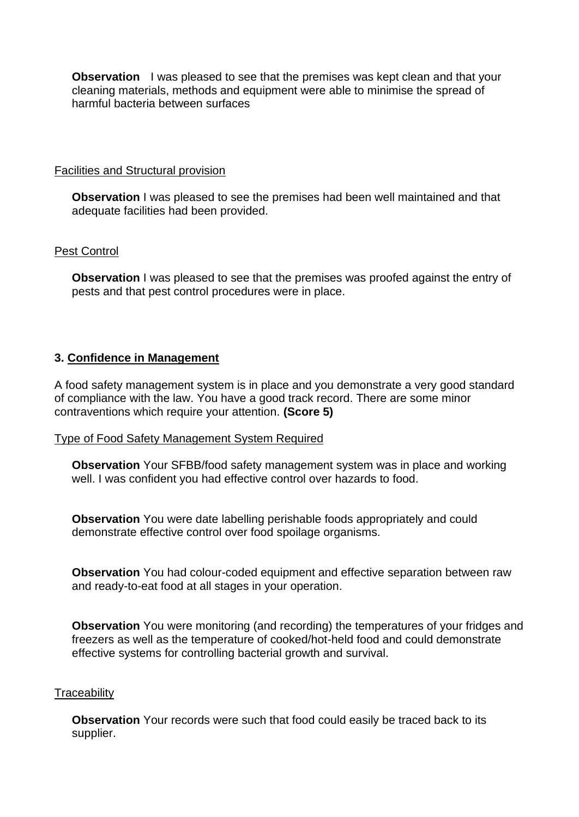**Observation** I was pleased to see that the premises was kept clean and that your cleaning materials, methods and equipment were able to minimise the spread of harmful bacteria between surfaces

Facilities and Structural provision

**Observation** I was pleased to see the premises had been well maintained and that adequate facilities had been provided.

### Pest Control

**Observation** I was pleased to see that the premises was proofed against the entry of pests and that pest control procedures were in place.

## **3. Confidence in Management**

A food safety management system is in place and you demonstrate a very good standard of compliance with the law. You have a good track record. There are some minor contraventions which require your attention. **(Score 5)** 

### Type of Food Safety Management System Required

**Observation** Your SFBB/food safety management system was in place and working well. I was confident you had effective control over hazards to food.

 demonstrate effective control over food spoilage organisms. **Observation** You were date labelling perishable foods appropriately and could

**Observation** You had colour-coded equipment and effective separation between raw and ready-to-eat food at all stages in your operation.

**Observation** You were monitoring (and recording) the temperatures of your fridges and freezers as well as the temperature of cooked/hot-held food and could demonstrate effective systems for controlling bacterial growth and survival.

### **Traceability**

**Observation** Your records were such that food could easily be traced back to its supplier.